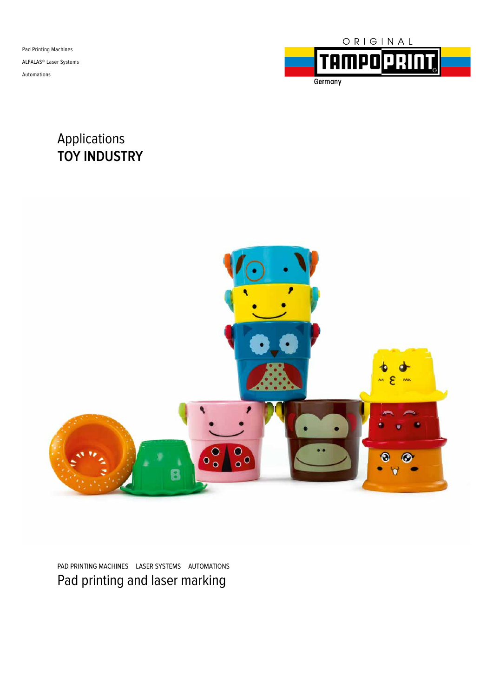Pad Printing Machines ALFALAS® Laser Systems Automations



### Applications **TOY INDUSTRY**



PAD PRINTING MACHINES LASER SYSTEMS AUTOMATIONS Pad printing and laser marking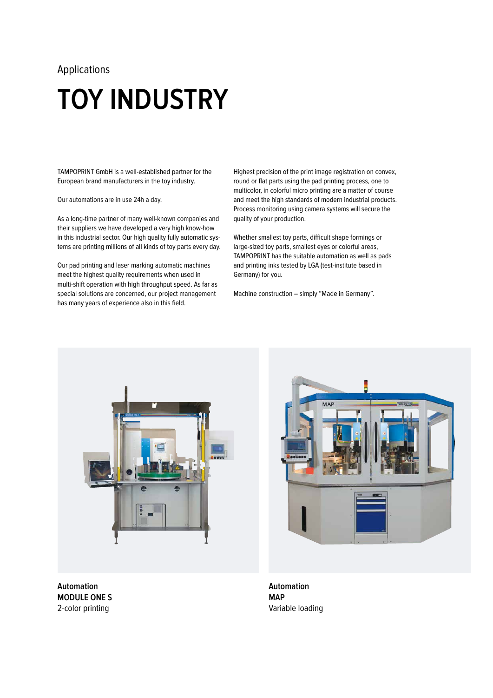# **TOY INDUSTRY**

TAMPOPRINT GmbH is a well-established partner for the European brand manufacturers in the toy industry.

Our automations are in use 24h a day.

As a long-time partner of many well-known companies and their suppliers we have developed a very high know-how in this industrial sector. Our high quality fully automatic systems are printing millions of all kinds of toy parts every day.

Our pad printing and laser marking automatic machines meet the highest quality requirements when used in multi-shift operation with high throughput speed. As far as special solutions are concerned, our project management has many years of experience also in this field.

Highest precision of the print image registration on convex, round or flat parts using the pad printing process, one to multicolor, in colorful micro printing are a matter of course and meet the high standards of modern industrial products. Process monitoring using camera systems will secure the quality of your production.

Whether smallest toy parts, difficult shape formings or large-sized toy parts, smallest eyes or colorful areas, TAMPOPRINT has the suitable automation as well as pads and printing inks tested by LGA (test-institute based in Germany) for you.

Machine construction – simply "Made in Germany".



**Automation MODULE ONE S**  2-color printing



**Automation MAP**  Variable loading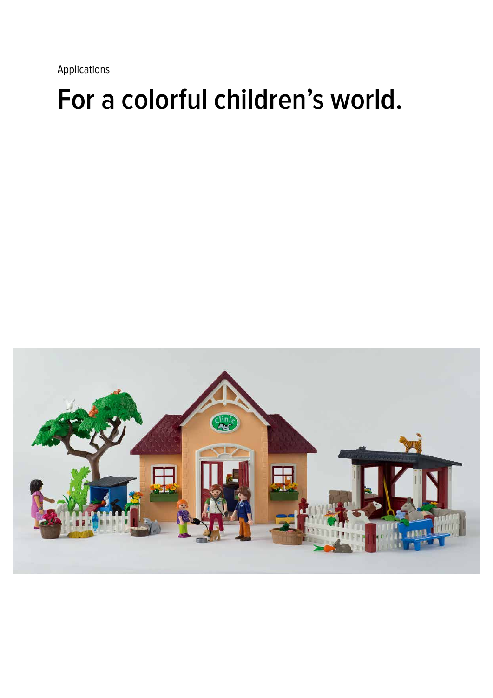## **For a colorful children's world.**

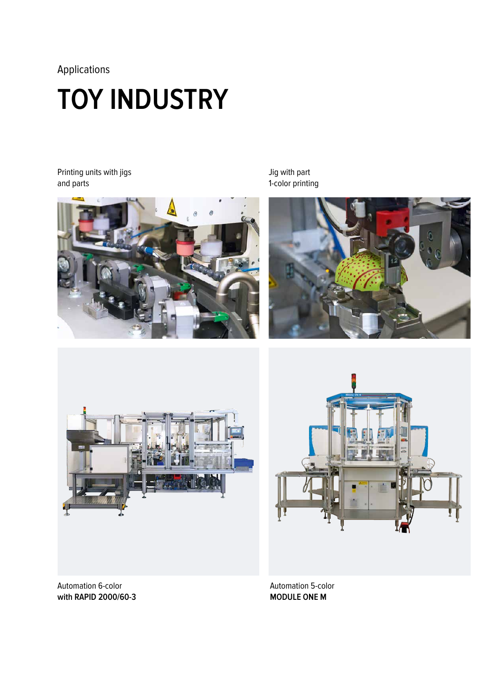## **TOY INDUSTRY**

Printing units with jigs and parts



Jig with part 1-color printing









Automation 5-color **MODULE ONE M**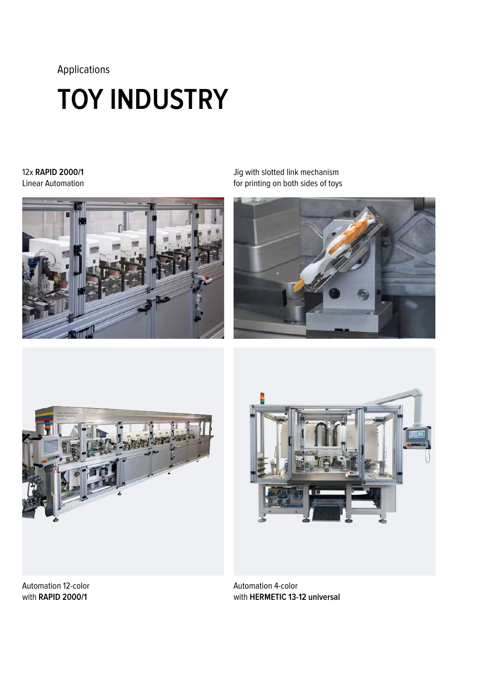# **TOY INDUSTRY**

#### 12x **RAPID 2000/1** Linear Automation



Jig with slotted link mechanism for printing on both sides of toys







Automation 12-color with **RAPID 2000/1**

Automation 4-color with **HERMETIC 13-12 universal**